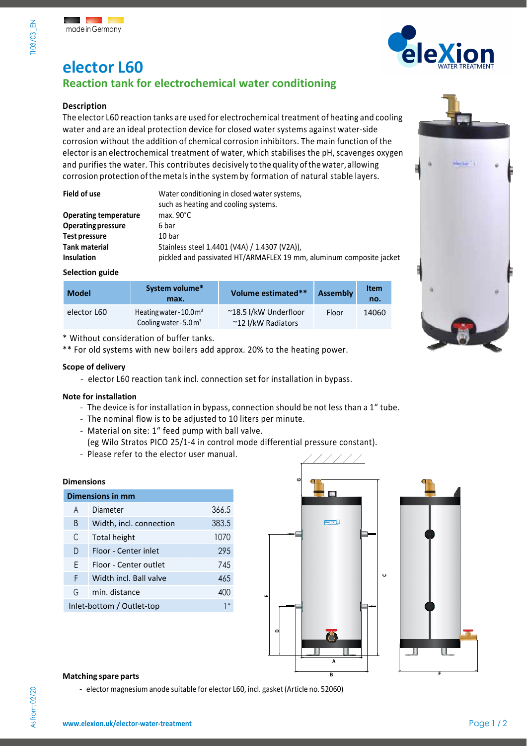

# **elector L60 Reaction tank for electrochemical water conditioning**

# **Description**

The elector L60 reaction tanks are used for electrochemical treatment of heating and cooling water and are an ideal protection device for closed water systems against water-side corrosion without the addition of chemical corrosion inhibitors. The main function of the elector is an electrochemical treatment of water, which stabilises the pH, scavenges oxygen and purifies the water. This contributes decisively tothe quality ofthe water, allowing corrosion protection ofthemetalsin the systemby formation of natural stable layers.

| Field of use                 | Water conditioning in closed water systems,<br>such as heating and cooling systems. |
|------------------------------|-------------------------------------------------------------------------------------|
| <b>Operating temperature</b> | max. $90^{\circ}$ C                                                                 |
| <b>Operating pressure</b>    | 6 bar                                                                               |
| Test pressure                | 10 bar                                                                              |
| <b>Tank material</b>         | Stainless steel 1.4401 (V4A) / 1.4307 (V2A)),                                       |
| <b>Insulation</b>            | pickled and passivated HT/ARMAFLEX 19 mm, aluminum composite jacket                 |

### **Selection guide**

| <b>Model</b> | System volume*<br>max.                                                  | Volume estimated**                          | <b>Assembly</b> | <b>Item</b><br>no. |
|--------------|-------------------------------------------------------------------------|---------------------------------------------|-----------------|--------------------|
| elector L60  | Heating water - $10.0 \text{ m}^3$<br>Cooling water - $5.0 \text{ m}^3$ | ~18.5 l/kW Underfloor<br>~12 I/kW Radiators | Floor           | 14060              |

\* Without consideration of buffer tanks.

\*\* For old systems with new boilers add approx. 20% to the heating power.

### **Scope of delivery**

- elector L60 reaction tank incl. connection set for installation in bypass.

### **Note for installation**

- The device is for installation in bypass, connection should be not less than a 1" tube.
- The nominal flow is to be adjusted to 10 liters per minute.
- Material on site: 1" feed pump with ball valve. (eg Wilo Stratos PICO 25/1-4 in control mode differential pressure constant).
- Please refer to the elector user manual.

### **Dimensions**

| <b>Dimensions in mm</b>   |                         |                 |  |
|---------------------------|-------------------------|-----------------|--|
| A                         | Diameter                | 366.5           |  |
| B                         | Width, incl. connection | 383.5           |  |
| C                         | Total height            | 1070            |  |
| D                         | Floor - Center inlet    | 295             |  |
| F                         | Floor - Center outlet   | 745             |  |
| F                         | Width incl. Ball valve  | 465             |  |
| G                         | min. distance           | 400             |  |
| Inlet-bottom / Outlet-top |                         | 1 <sup>ii</sup> |  |
|                           |                         |                 |  |







### **Matching spare** parts

- elector magnesium anode suitable for elector L60, incl. gasket (Article no. 52060)